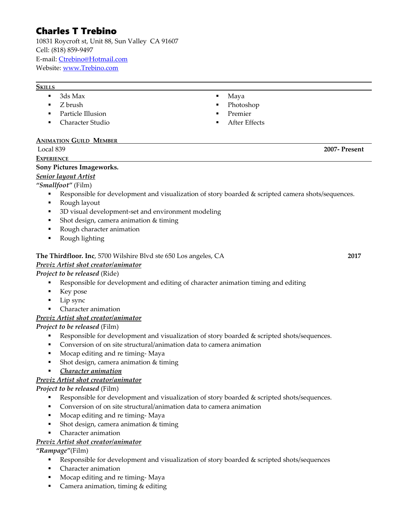# Charles T Trebino

10831 Roycroft st, Unit 88, Sun Valley CA 91607 Cell: (818) 859-9497 E-mail: [Ctrebino@Hotmail.com](mailto:Ctrebino@Hotmail.com) Website: [www.Trebino.com](http://www.Trebino.com/)

#### **SKILLS**

- 3ds Max
- Z brush
- Particle Illusion
- **-** Character Studio
- $\blacksquare$  Maya
- Photoshop
- Premier
- After Effects

# **ANIMATION GUILD MEMBER**

| Local 839         | $2007 -$<br>Present |
|-------------------|---------------------|
| <b>EXPERIENCE</b> |                     |

#### **Sony Pictures Imageworks.**

# *Senior layout Artist*

# *"Smallfoot"* (Film)

- Responsible for development and visualization of story boarded & scripted camera shots/sequences.
- Rough layout
- 3D visual development-set and environment modeling
- Shot design, camera animation & timing
- Rough character animation
- **Rough lighting**

#### **The Thirdfloor. Inc**, 5700 Wilshire Blvd ste 650 Los angeles, CA **2017**

# *Previz Artist shot creator/animator*

# *Project to be released* (Ride)

- Responsible for development and editing of character animation timing and editing
- **Key pose**
- Lip sync
- Character animation

# *Previz Artist shot creator/animator*

# *Project to be released* (Film)

- **Responsible for development and visualization of story boarded & scripted shots/sequences.**
- **Conversion of on site structural/animation data to camera animation**
- **Mocap editing and re timing-Maya**
- Shot design, camera animation & timing
- *Character animation*

# *Previz Artist shot creator/animator*

# *Project to be released* (Film)

- Responsible for development and visualization of story boarded & scripted shots/sequences.
- Conversion of on site structural/animation data to camera animation
- **Mocap editing and re timing-Maya**
- **Shot design, camera animation & timing**
- Character animation

# *Previz Artist shot creator/animator*

*"Rampage"*(Film)

- Responsible for development and visualization of story boarded & scripted shots/sequences
- Character animation
- Mocap editing and re timing- Maya
- Camera animation, timing & editing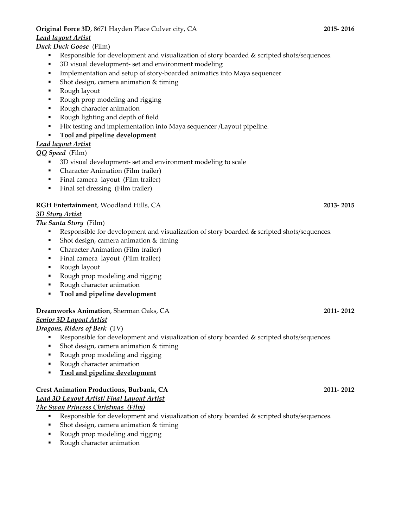#### **Original Force 3D**, 8671 Hayden Place Culver city, CA **2015- 2016**

#### *Lead layout Artist*

# *Duck Duck Goose* (Film)

- **Responsible for development and visualization of story boarded & scripted shots/sequences.**
- 3D visual development- set and environment modeling
- **Implementation and setup of story-boarded animatics into Maya sequencer**
- **Shot design, camera animation & timing**
- Rough layout
- Rough prop modeling and rigging
- **Rough character animation**
- Rough lighting and depth of field
- Flix testing and implementation into Maya sequencer /Layout pipeline.

# **Tool and pipeline development**

# *Lead layout Artist*

*QQ Speed* (Film)

- 3D visual development- set and environment modeling to scale
- **•** Character Animation (Film trailer)
- Final camera layout (Film trailer)
- Final set dressing (Film trailer)

# **RGH Entertainment**, Woodland Hills, CA **2013- 2015**

# *3D Story Artist*

*The Santa Story* (Film)

- Responsible for development and visualization of story boarded & scripted shots/sequences.
- Shot design, camera animation & timing
- Character Animation (Film trailer)
- Final camera layout (Film trailer)
- Rough layout
- Rough prop modeling and rigging
- **Rough character animation**
- **Tool and pipeline development**

#### **Dreamworks Animation**, Sherman Oaks, CA **2011- 2012**

#### *Senior 3D Layout Artist*

*Dragons, Riders of Berk* (TV)

- **Responsible for development and visualization of story boarded & scripted shots/sequences.**
- Shot design, camera animation & timing
- Rough prop modeling and rigging
- Rough character animation
- **Tool and pipeline development**

#### **Crest Animation Productions, Burbank, CA 2011- 2012**

# *Lead 3D Layout Artist/ Final Layout Artist*

*The Swan Princess Christmas (Film)*

- **Responsible for development and visualization of story boarded & scripted shots/sequences.**
- **Shot design, camera animation & timing**
- Rough prop modeling and rigging
- Rough character animation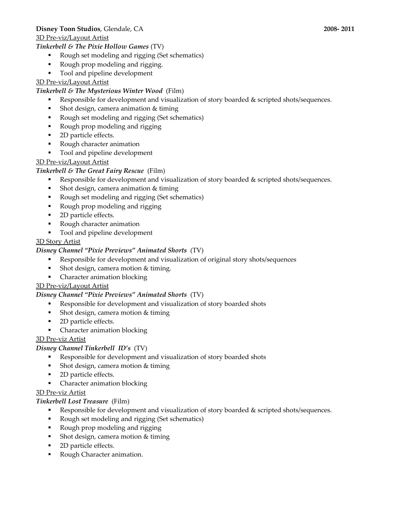### **Disney Toon Studios**, Glendale, CA **2008- 2011**

#### 3D Pre-viz/Layout Artist

## *Tinkerbell & The Pixie Hollow Games* (TV)

- Rough set modeling and rigging (Set schematics)
- Rough prop modeling and rigging.
- Tool and pipeline development

# 3D Pre-viz/Layout Artist

#### *Tinkerbell & The Mysterious Winter Wood* (Film)

- **Responsible for development and visualization of story boarded & scripted shots/sequences.**
- Shot design, camera animation & timing
- Rough set modeling and rigging (Set schematics)
- Rough prop modeling and rigging
- 2D particle effects.
- Rough character animation
- $\blacksquare$  Tool and pipeline development

#### 3D Pre-viz/Layout Artist

#### *Tinkerbell & The Great Fairy Rescue* (Film)

- Responsible for development and visualization of story boarded & scripted shots/sequences.
- **Shot design, camera animation & timing**
- Rough set modeling and rigging (Set schematics)
- Rough prop modeling and rigging
- 2D particle effects.
- Rough character animation
- **Tool and pipeline development**

#### 3D Story Artist

#### *Disney Channel "Pixie Previews" Animated Shorts* (TV)

- Responsible for development and visualization of original story shots/sequences
- Shot design, camera motion & timing.
- Character animation blocking

#### 3D Pre-viz/Layout Artist

#### *Disney Channel "Pixie Previews" Animated Shorts* (TV)

- Responsible for development and visualization of story boarded shots
- Shot design, camera motion & timing
- 2D particle effects.
- Character animation blocking

# 3D Pre-viz Artist

# *Disney Channel Tinkerbell ID's* (TV)

- Responsible for development and visualization of story boarded shots
- **Shot design, camera motion & timing**
- 2D particle effects.
- **•** Character animation blocking

#### 3D Pre-viz Artist

# *Tinkerbell Lost Treasure* (Film)

- Responsible for development and visualization of story boarded & scripted shots/sequences.
- Rough set modeling and rigging (Set schematics)
- Rough prop modeling and rigging
- Shot design, camera motion & timing
- 2D particle effects.
- Rough Character animation.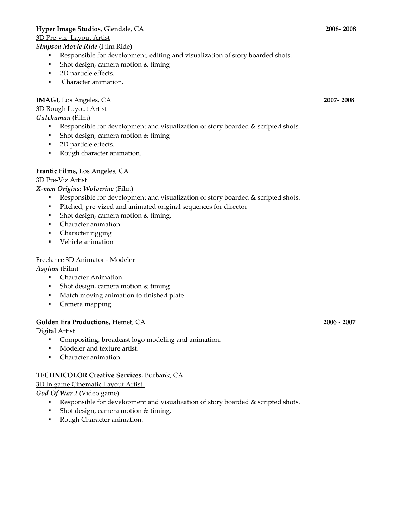#### **Hyper Image Studios**, Glendale, CA **2008- 2008**

#### 3D Pre-viz Layout Artist

#### *Simpson Movie Ride* (Film Ride)

- Responsible for development, editing and visualization of story boarded shots.
- **Shot design, camera motion & timing**
- 2D particle effects.
- **Character animation.**

## **IMAGI**, Los Angeles, CA **2007- 2008**

## 3D Rough Layout Artist

*Gatchaman* (Film)

- Responsible for development and visualization of story boarded & scripted shots.
- **Shot design, camera motion & timing**
- 2D particle effects.
- **Rough character animation.**

#### **Frantic Films**, Los Angeles, CA

#### 3D Pre-Viz Artist

#### *X-men Origins: Wolverine* (Film)

- Responsible for development and visualization of story boarded & scripted shots.
- Pitched, pre-vized and animated original sequences for director
- **Shot design, camera motion & timing.**
- **Character animation.**
- Character rigging
- **•** Vehicle animation

#### Freelance 3D Animator - Modeler

*Asylum* (Film)

- **Character Animation.**
- Shot design, camera motion & timing
- **Match moving animation to finished plate**
- **Camera mapping.**

#### **Golden Era Productions**, Hemet, CA **2006 - 2007**

Digital Artist

- Compositing, broadcast logo modeling and animation.
- Modeler and texture artist.
- Character animation

#### **TECHNICOLOR Creative Services**, Burbank, CA

#### 3D In game Cinematic Layout Artist

*God Of War 2* (Video game)

- Responsible for development and visualization of story boarded & scripted shots.
- Shot design, camera motion & timing.
- Rough Character animation.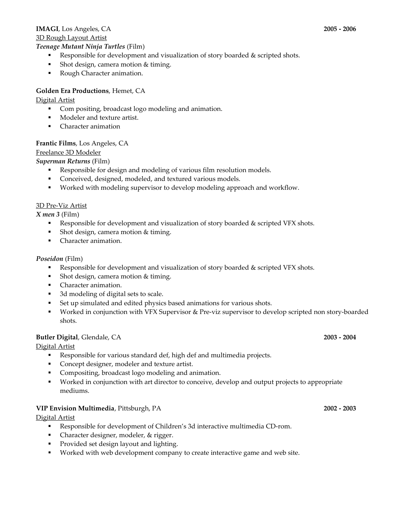# **IMAGI**, Los Angeles, CA **2005 - 2006**

3D Rough Layout Artist

#### *Teenage Mutant Ninja Turtles* (Film)

- Responsible for development and visualization of story boarded & scripted shots.
- Shot design, camera motion & timing.
- Rough Character animation.

## **Golden Era Productions**, Hemet, CA

#### Digital Artist

- Com positing, broadcast logo modeling and animation.
- **Modeler and texture artist.**
- Character animation

#### **Frantic Films**, Los Angeles, CA

#### Freelance 3D Modeler

*Superman Returns* (Film)

- Responsible for design and modeling of various film resolution models.
- Conceived, designed, modeled, and textured various models.
- Worked with modeling supervisor to develop modeling approach and workflow.

#### 3D Pre-Viz Artist

*X men 3* (Film)

- **Responsible for development and visualization of story boarded & scripted VFX shots.**
- Shot design, camera motion & timing.
- Character animation.

#### *Poseidon* (Film)

- Responsible for development and visualization of story boarded & scripted VFX shots.
- Shot design, camera motion & timing.
- **Character animation.**
- 3d modeling of digital sets to scale.
- Set up simulated and edited physics based animations for various shots.
- Worked in conjunction with VFX Supervisor & Pre-viz supervisor to develop scripted non story-boarded shots.

# **Butler Digital**, Glendale, CA **2003 - 2004**

Digital Artist

- Responsible for various standard def, high def and multimedia projects.
- Concept designer, modeler and texture artist.
- **Compositing, broadcast logo modeling and animation.**
- Worked in conjunction with art director to conceive, develop and output projects to appropriate mediums.

#### **VIP Envision Multimedia**, Pittsburgh, PA **2002 - 2003**

Digital Artist

- Responsible for development of Children's 3d interactive multimedia CD-rom.
- Character designer, modeler, & rigger.
- Provided set design layout and lighting.
- Worked with web development company to create interactive game and web site.